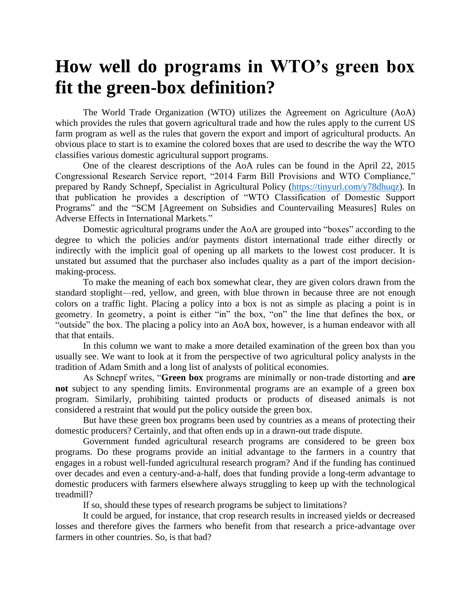## **How well do programs in WTO's green box fit the green-box definition?**

The World Trade Organization (WTO) utilizes the Agreement on Agriculture (AoA) which provides the rules that govern agricultural trade and how the rules apply to the current US farm program as well as the rules that govern the export and import of agricultural products. An obvious place to start is to examine the colored boxes that are used to describe the way the WTO classifies various domestic agricultural support programs.

One of the clearest descriptions of the AoA rules can be found in the April 22, 2015 Congressional Research Service report, "2014 Farm Bill Provisions and WTO Compliance," prepared by Randy Schnepf, Specialist in Agricultural Policy [\(https://tinyurl.com/y78dhuqz\)](https://tinyurl.com/y78dhuqz). In that publication he provides a description of "WTO Classification of Domestic Support Programs" and the "SCM [Agreement on Subsidies and Countervailing Measures] Rules on Adverse Effects in International Markets."

Domestic agricultural programs under the AoA are grouped into "boxes" according to the degree to which the policies and/or payments distort international trade either directly or indirectly with the implicit goal of opening up all markets to the lowest cost producer. It is unstated but assumed that the purchaser also includes quality as a part of the import decisionmaking-process.

To make the meaning of each box somewhat clear, they are given colors drawn from the standard stoplight—red, yellow, and green, with blue thrown in because three are not enough colors on a traffic light. Placing a policy into a box is not as simple as placing a point is in geometry. In geometry, a point is either "in" the box, "on" the line that defines the box, or "outside" the box. The placing a policy into an AoA box, however, is a human endeavor with all that that entails.

In this column we want to make a more detailed examination of the green box than you usually see. We want to look at it from the perspective of two agricultural policy analysts in the tradition of Adam Smith and a long list of analysts of political economies.

As Schnepf writes, "**Green box** programs are minimally or non-trade distorting and **are not** subject to any spending limits. Environmental programs are an example of a green box program. Similarly, prohibiting tainted products or products of diseased animals is not considered a restraint that would put the policy outside the green box.

But have these green box programs been used by countries as a means of protecting their domestic producers? Certainly, and that often ends up in a drawn-out trade dispute.

Government funded agricultural research programs are considered to be green box programs. Do these programs provide an initial advantage to the farmers in a country that engages in a robust well-funded agricultural research program? And if the funding has continued over decades and even a century-and-a-half, does that funding provide a long-term advantage to domestic producers with farmers elsewhere always struggling to keep up with the technological treadmill?

If so, should these types of research programs be subject to limitations?

It could be argued, for instance, that crop research results in increased yields or decreased losses and therefore gives the farmers who benefit from that research a price-advantage over farmers in other countries. So, is that bad?